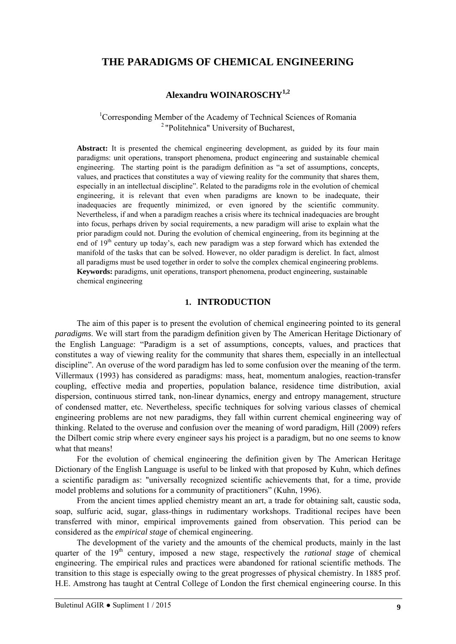# **THE PARADIGMS OF CHEMICAL ENGINEERING**

# **Alexandru WOINAROSCHY1,2**

<sup>1</sup>Corresponding Member of the Academy of Technical Sciences of Romania 2 "Politehnica" University of Bucharest,

**Abstract:** It is presented the chemical engineering development, as guided by its four main paradigms: unit operations, transport phenomena, product engineering and sustainable chemical engineering. The starting point is the paradigm definition as "a set of assumptions, concepts, values, and practices that constitutes a way of viewing reality for the community that shares them, especially in an intellectual discipline". Related to the paradigms role in the evolution of chemical engineering, it is relevant that even when paradigms are known to be inadequate, their inadequacies are frequently minimized, or even ignored by the scientific community. Nevertheless, if and when a paradigm reaches a crisis where its technical inadequacies are brought into focus, perhaps driven by social requirements, a new paradigm will arise to explain what the prior paradigm could not. During the evolution of chemical engineering, from its beginning at the end of  $19<sup>th</sup>$  century up today's, each new paradigm was a step forward which has extended the manifold of the tasks that can be solved. However, no older paradigm is derelict. In fact, almost all paradigms must be used together in order to solve the complex chemical engineering problems. **Keywords:** paradigms, unit operations, transport phenomena, product engineering, sustainable chemical engineering

### **1. INTRODUCTION**

The aim of this paper is to present the evolution of chemical engineering pointed to its general *paradigms*. We will start from the paradigm definition given by The American Heritage Dictionary of the English Language: "Paradigm is a set of assumptions, concepts, values, and practices that constitutes a way of viewing reality for the community that shares them, especially in an intellectual discipline". An overuse of the word paradigm has led to some confusion over the meaning of the term. Villermaux (1993) has considered as paradigms: mass, heat, momentum analogies, reaction-transfer coupling, effective media and properties, population balance, residence time distribution, axial dispersion, continuous stirred tank, non-linear dynamics, energy and entropy management, structure of condensed matter, etc. Nevertheless, specific techniques for solving various classes of chemical engineering problems are not new paradigms, they fall within current chemical engineering way of thinking. Related to the overuse and confusion over the meaning of word paradigm, Hill (2009) refers the Dilbert comic strip where every engineer says his project is a paradigm, but no one seems to know what that means!

For the evolution of chemical engineering the definition given by The American Heritage Dictionary of the English Language is useful to be linked with that proposed by Kuhn, which defines a scientific paradigm as: "universally recognized scientific achievements that, for a time, provide model problems and solutions for a community of practitioners" (Kuhn, 1996).

From the ancient times applied chemistry meant an art, a trade for obtaining salt, caustic soda, soap, sulfuric acid, sugar, glass-things in rudimentary workshops. Traditional recipes have been transferred with minor, empirical improvements gained from observation. This period can be considered as the *empirical stage* of chemical engineering.

The development of the variety and the amounts of the chemical products, mainly in the last quarter of the 19<sup>th</sup> century, imposed a new stage, respectively the *rational stage* of chemical engineering. The empirical rules and practices were abandoned for rational scientific methods. The transition to this stage is especially owing to the great progresses of physical chemistry. In 1885 prof. H.E. Amstrong has taught at Central College of London the first chemical engineering course. In this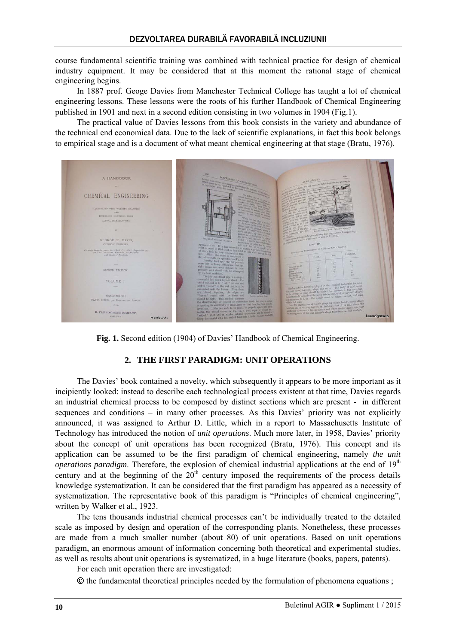course fundamental scientific training was combined with technical practice for design of chemical industry equipment. It may be considered that at this moment the rational stage of chemical engineering begins.

In 1887 prof. Geoge Davies from Manchester Technical College has taught a lot of chemical engineering lessons. These lessons were the roots of his further Handbook of Chemical Engineering published in 1901 and next in a second edition consisting in two volumes in 1904 (Fig.1).

The practical value of Davies lessons from this book consists in the variety and abundance of the technical end economical data. Due to the lack of scientific explanations, in fact this book belongs to empirical stage and is a document of what meant chemical engineering at that stage (Bratu, 1976).



**Fig. 1.** Second edition (1904) of Davies' Handbook of Chemical Engineering.

# **2. THE FIRST PARADIGM: UNIT OPERATIONS**

The Davies' book contained a novelty, which subsequently it appears to be more important as it incipiently looked: instead to describe each technological process existent at that time, Davies regards an industrial chemical process to be composed by distinct sections which are present - in different sequences and conditions – in many other processes. As this Davies' priority was not explicitly announced, it was assigned to Arthur D. Little, which in a report to Massachusetts Institute of Technology has introduced the notion of *unit operations*. Much more later, in 1958, Davies' priority about the concept of unit operations has been recognized (Bratu, 1976). This concept and its application can be assumed to be the first paradigm of chemical engineering, namely *the unit operations paradigm*. Therefore, the explosion of chemical industrial applications at the end of  $19<sup>th</sup>$ century and at the beginning of the  $20<sup>th</sup>$  century imposed the requirements of the process details knowledge systematization. It can be considered that the first paradigm has appeared as a necessity of systematization. The representative book of this paradigm is "Principles of chemical engineering", written by Walker et al., 1923.

The tens thousands industrial chemical processes can't be individually treated to the detailed scale as imposed by design and operation of the corresponding plants. Nonetheless, these processes are made from a much smaller number (about 80) of unit operations. Based on unit operations paradigm, an enormous amount of information concerning both theoretical and experimental studies, as well as results about unit operations is systematized, in a huge literature (books, papers, patents).

For each unit operation there are investigated:

 $\odot$  the fundamental theoretical principles needed by the formulation of phenomena equations ;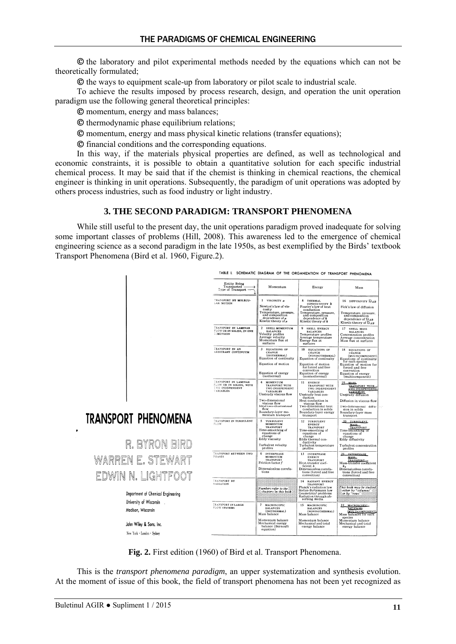the laboratory and pilot experimental methods needed by the equations which can not be theoretically formulated;

 $\odot$  the ways to equipment scale-up from laboratory or pilot scale to industrial scale.

To achieve the results imposed by process research, design, and operation the unit operation paradigm use the following general theoretical principles:

momentum, energy and mass balances;

 $\odot$  thermodynamic phase equilibrium relations;

momentum, energy and mass physical kinetic relations (transfer equations);

financial conditions and the corresponding equations.

In this way, if the materials physical properties are defined, as well as technological and economic constraints, it is possible to obtain a quantitative solution for each specific industrial chemical process. It may be said that if the chemist is thinking in chemical reactions, the chemical engineer is thinking in unit operations. Subsequently, the paradigm of unit operations was adopted by others process industries, such as food industry or light industry.

#### **3. THE SECOND PARADIGM: TRANSPORT PHENOMENA**

While still useful to the present day, the unit operations paradigm proved inadequate for solving some important classes of problems (Hill, 2008). This awareness led to the emergence of chemical engineering science as a second paradigm in the late 1950s, as best exemplified by the Birds' textbook Transport Phenomena (Bird et al. 1960, Figure.2).



**Fig. 2.** First edition (1960) of Bird et al. Transport Phenomena.

This is the *transport phenomena paradigm*, an upper systematization and synthesis evolution. At the moment of issue of this book, the field of transport phenomena has not been yet recognized as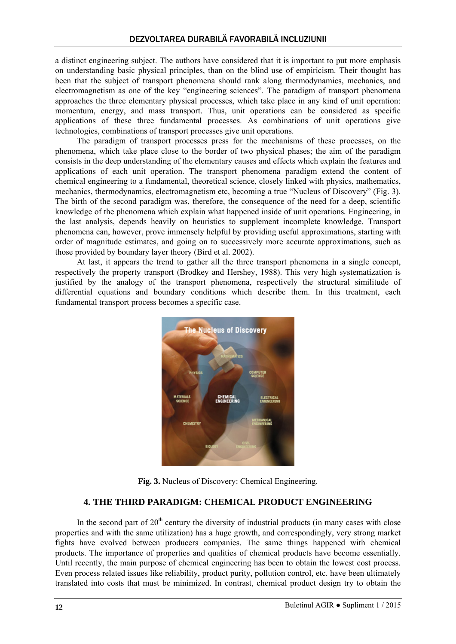a distinct engineering subject. The authors have considered that it is important to put more emphasis on understanding basic physical principles, than on the blind use of empiricism. Their thought has been that the subject of transport phenomena should rank along thermodynamics, mechanics, and electromagnetism as one of the key "engineering sciences". The paradigm of transport phenomena approaches the three elementary physical processes, which take place in any kind of unit operation: momentum, energy, and mass transport. Thus, unit operations can be considered as specific applications of these three fundamental processes. As combinations of unit operations give technologies, combinations of transport processes give unit operations.

The paradigm of transport processes press for the mechanisms of these processes, on the phenomena, which take place close to the border of two physical phases; the aim of the paradigm consists in the deep understanding of the elementary causes and effects which explain the features and applications of each unit operation. The transport phenomena paradigm extend the content of chemical engineering to a fundamental, theoretical science, closely linked with physics, mathematics, mechanics, thermodynamics, electromagnetism etc, becoming a true "Nucleus of Discovery" (Fig. 3). The birth of the second paradigm was, therefore, the consequence of the need for a deep, scientific knowledge of the phenomena which explain what happened inside of unit operations*.* Engineering, in the last analysis, depends heavily on heuristics to supplement incomplete knowledge. Transport phenomena can, however, prove immensely helpful by providing useful approximations, starting with order of magnitude estimates, and going on to successively more accurate approximations, such as those provided by boundary layer theory (Bird et al. 2002).

At last, it appears the trend to gather all the three transport phenomena in a single concept, respectively the property transport (Brodkey and Hershey, 1988). This very high systematization is justified by the analogy of the transport phenomena, respectively the structural similitude of differential equations and boundary conditions which describe them. In this treatment, each fundamental transport process becomes a specific case.



**Fig. 3.** Nucleus of Discovery: Chemical Engineering.

#### **4. THE THIRD PARADIGM: CHEMICAL PRODUCT ENGINEERING**

In the second part of  $20<sup>th</sup>$  century the diversity of industrial products (in many cases with close properties and with the same utilization) has a huge growth, and correspondingly, very strong market fights have evolved between producers companies. The same things happened with chemical products. The importance of properties and qualities of chemical products have become essentially*.*  Until recently, the main purpose of chemical engineering has been to obtain the lowest cost process. Even process related issues like reliability, product purity, pollution control, etc. have been ultimately translated into costs that must be minimized. In contrast, chemical product design try to obtain the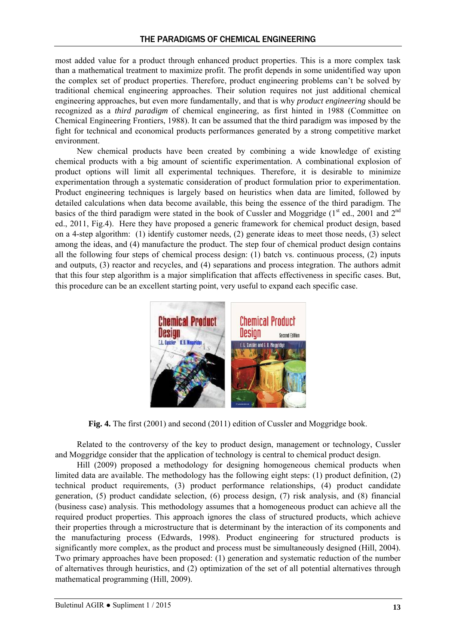most added value for a product through enhanced product properties. This is a more complex task than a mathematical treatment to maximize profit. The profit depends in some unidentified way upon the complex set of product properties. Therefore, product engineering problems can't be solved by traditional chemical engineering approaches. Their solution requires not just additional chemical engineering approaches, but even more fundamentally, and that is why *product engineering* should be recognized as a *third paradigm* of chemical engineering, as first hinted in 1988 (Committee on Chemical Engineering Frontiers, 1988). It can be assumed that the third paradigm was imposed by the fight for technical and economical products performances generated by a strong competitive market environment.

New chemical products have been created by combining a wide knowledge of existing chemical products with a big amount of scientific experimentation. A combinational explosion of product options will limit all experimental techniques. Therefore, it is desirable to minimize experimentation through a systematic consideration of product formulation prior to experimentation. Product engineering techniques is largely based on heuristics when data are limited, followed by detailed calculations when data become available, this being the essence of the third paradigm. The basics of the third paradigm were stated in the book of Cussler and Moggridge  $(1<sup>st</sup>$  ed., 2001 and  $2<sup>nd</sup>$ ed., 2011, Fig.4). Here they have proposed a generic framework for chemical product design, based on a 4-step algorithm: (1) identify customer needs, (2) generate ideas to meet those needs, (3) select among the ideas, and (4) manufacture the product. The step four of chemical product design contains all the following four steps of chemical process design: (1) batch vs. continuous process, (2) inputs and outputs, (3) reactor and recycles, and (4) separations and process integration. The authors admit that this four step algorithm is a major simplification that affects effectiveness in specific cases. But, this procedure can be an excellent starting point, very useful to expand each specific case.



**Fig. 4.** The first (2001) and second (2011) edition of Cussler and Moggridge book.

Related to the controversy of the key to product design, management or technology, Cussler and Moggridge consider that the application of technology is central to chemical product design.

Hill (2009) proposed a methodology for designing homogeneous chemical products when limited data are available. The methodology has the following eight steps: (1) product definition, (2) technical product requirements, (3) product performance relationships, (4) product candidate generation, (5) product candidate selection, (6) process design, (7) risk analysis, and (8) financial (business case) analysis. This methodology assumes that a homogeneous product can achieve all the required product properties. This approach ignores the class of structured products, which achieve their properties through a microstructure that is determinant by the interaction of its components and the manufacturing process (Edwards, 1998). Product engineering for structured products is significantly more complex, as the product and process must be simultaneously designed (Hill, 2004). Two primary approaches have been proposed: (1) generation and systematic reduction of the number of alternatives through heuristics, and (2) optimization of the set of all potential alternatives through mathematical programming (Hill, 2009).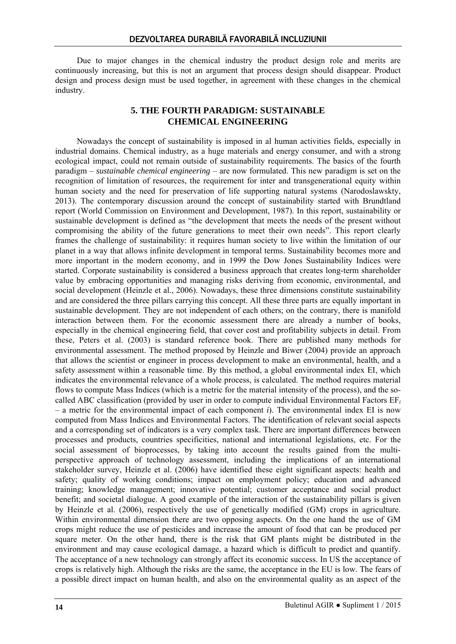Due to major changes in the chemical industry the product design role and merits are continuously increasing, but this is not an argument that process design should disappear. Product design and process design must be used together, in agreement with these changes in the chemical industry.

### **5. THE FOURTH PARADIGM: SUSTAINABLE CHEMICAL ENGINEERING**

Nowadays the concept of sustainability is imposed in al human activities fields, especially in industrial domains. Chemical industry, as a huge materials and energy consumer, and with a strong ecological impact, could not remain outside of sustainability requirements. The basics of the fourth paradigm – *sustainable chemical engineering* – are now formulated. This new paradigm is set on the recognition of limitation of resources, the requirement for inter and transgenerational equity within human society and the need for preservation of life supporting natural systems (Narodoslawskty, 2013). The contemporary discussion around the concept of sustainability started with Brundtland report (World Commission on Environment and Development, 1987). In this report, sustainability or sustainable development is defined as "the development that meets the needs of the present without compromising the ability of the future generations to meet their own needs". This report clearly frames the challenge of sustainability: it requires human society to live within the limitation of our planet in a way that allows infinite development in temporal terms. Sustainability becomes more and more important in the modern economy, and in 1999 the Dow Jones Sustainability Indices were started. Corporate sustainability is considered a business approach that creates long-term shareholder value by embracing opportunities and managing risks deriving from economic, environmental, and social development (Heinzle et al., 2006). Nowadays, these three dimensions constitute sustainability and are considered the three pillars carrying this concept. All these three parts are equally important in sustainable development. They are not independent of each others; on the contrary, there is manifold interaction between them. For the economic assessment there are already a number of books, especially in the chemical engineering field, that cover cost and profitability subjects in detail. From these, Peters et al. (2003) is standard reference book. There are published many methods for environmental assessment. The method proposed by Heinzle and Biwer (2004) provide an approach that allows the scientist or engineer in process development to make an environmental, health, and a safety assessment within a reasonable time. By this method, a global environmental index EI, which indicates the environmental relevance of a whole process, is calculated. The method requires material flows to compute Mass Indices (which is a metric for the material intensity of the process), and the socalled ABC classification (provided by user in order to compute individual Environmental Factors EF*<sup>i</sup>* – a metric for the environmental impact of each component *i*). The environmental index EI is now computed from Mass Indices and Environmental Factors. The identification of relevant social aspects and a corresponding set of indicators is a very complex task. There are important differences between processes and products, countries specificities, national and international legislations, etc. For the social assessment of bioprocesses, by taking into account the results gained from the multiperspective approach of technology assessment, including the implications of an international stakeholder survey, Heinzle et al. (2006) have identified these eight significant aspects: health and safety; quality of working conditions; impact on employment policy; education and advanced training; knowledge management; innovative potential; customer acceptance and social product benefit; and societal dialogue. A good example of the interaction of the sustainability pillars is given by Heinzle et al. (2006), respectively the use of genetically modified (GM) crops in agriculture. Within environmental dimension there are two opposing aspects. On the one hand the use of GM crops might reduce the use of pesticides and increase the amount of food that can be produced per square meter. On the other hand, there is the risk that GM plants might be distributed in the environment and may cause ecological damage, a hazard which is difficult to predict and quantify. The acceptance of a new technology can strongly affect its economic success. In US the acceptance of crops is relatively high. Although the risks are the same, the acceptance in the EU is low. The fears of a possible direct impact on human health, and also on the environmental quality as an aspect of the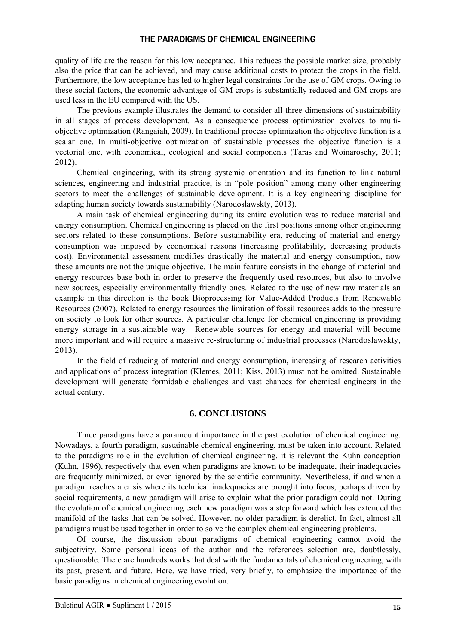quality of life are the reason for this low acceptance. This reduces the possible market size, probably also the price that can be achieved, and may cause additional costs to protect the crops in the field. Furthermore, the low acceptance has led to higher legal constraints for the use of GM crops. Owing to these social factors, the economic advantage of GM crops is substantially reduced and GM crops are used less in the EU compared with the US.

The previous example illustrates the demand to consider all three dimensions of sustainability in all stages of process development. As a consequence process optimization evolves to multiobjective optimization (Rangaiah, 2009). In traditional process optimization the objective function is a scalar one. In multi-objective optimization of sustainable processes the objective function is a vectorial one, with economical, ecological and social components (Taras and Woinaroschy, 2011; 2012).

Chemical engineering, with its strong systemic orientation and its function to link natural sciences, engineering and industrial practice, is in "pole position" among many other engineering sectors to meet the challenges of sustainable development. It is a key engineering discipline for adapting human society towards sustainability (Narodoslawskty, 2013).

A main task of chemical engineering during its entire evolution was to reduce material and energy consumption. Chemical engineering is placed on the first positions among other engineering sectors related to these consumptions. Before sustainability era, reducing of material and energy consumption was imposed by economical reasons (increasing profitability, decreasing products cost). Environmental assessment modifies drastically the material and energy consumption, now these amounts are not the unique objective. The main feature consists in the change of material and energy resources base both in order to preserve the frequently used resources, but also to involve new sources, especially environmentally friendly ones. Related to the use of new raw materials an example in this direction is the book Bioprocessing for Value-Added Products from Renewable Resources (2007). Related to energy resources the limitation of fossil resources adds to the pressure on society to look for other sources. A particular challenge for chemical engineering is providing energy storage in a sustainable way. Renewable sources for energy and material will become more important and will require a massive re-structuring of industrial processes (Narodoslawskty, 2013).

In the field of reducing of material and energy consumption, increasing of research activities and applications of process integration (Klemes, 2011; Kiss, 2013) must not be omitted. Sustainable development will generate formidable challenges and vast chances for chemical engineers in the actual century.

#### **6. CONCLUSIONS**

Three paradigms have a paramount importance in the past evolution of chemical engineering. Nowadays, a fourth paradigm, sustainable chemical engineering, must be taken into account. Related to the paradigms role in the evolution of chemical engineering, it is relevant the Kuhn conception (Kuhn, 1996), respectively that even when paradigms are known to be inadequate, their inadequacies are frequently minimized, or even ignored by the scientific community. Nevertheless, if and when a paradigm reaches a crisis where its technical inadequacies are brought into focus, perhaps driven by social requirements, a new paradigm will arise to explain what the prior paradigm could not. During the evolution of chemical engineering each new paradigm was a step forward which has extended the manifold of the tasks that can be solved. However, no older paradigm is derelict. In fact, almost all paradigms must be used together in order to solve the complex chemical engineering problems.

Of course, the discussion about paradigms of chemical engineering cannot avoid the subjectivity. Some personal ideas of the author and the references selection are, doubtlessly, questionable. There are hundreds works that deal with the fundamentals of chemical engineering, with its past, present, and future. Here, we have tried, very briefly, to emphasize the importance of the basic paradigms in chemical engineering evolution.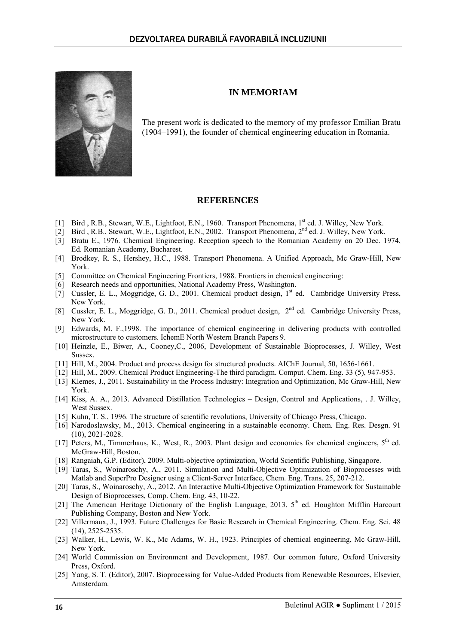

The present work is dedicated to the memory of my professor Emilian Bratu (1904–1991), the founder of chemical engineering education in Romania.

**IN MEMORIAM** 

#### **REFERENCES**

- [1] Bird, R.B., Stewart, W.E., Lightfoot, E.N., 1960. Transport Phenomena, 1<sup>st</sup> ed. J. Willey, New York.
- [2] Bird , R.B., Stewart, W.E., Lightfoot, E.N., 2002. Transport Phenomena, 2nd ed. J. Willey, New York.
- [3] Bratu E., 1976. Chemical Engineering. Reception speech to the Romanian Academy on 20 Dec. 1974, Ed. Romanian Academy, Bucharest.
- [4] Brodkey, R. S., Hershey, H.C., 1988. Transport Phenomena. A Unified Approach, Mc Graw-Hill, New York.
- [5] Committee on Chemical Engineering Frontiers, 1988. Frontiers in chemical engineering:
- [6] Research needs and opportunities, National Academy Press, Washington.
- [7] Cussler, E. L., Moggridge, G. D., 2001. Chemical product design, 1<sup>st</sup> ed. Cambridge University Press, New York.
- [8] Cussler, E. L., Moggridge, G. D., 2011. Chemical product design,  $2^{nd}$  ed. Cambridge University Press, New York.
- [9] Edwards, M. F.,1998. The importance of chemical engineering in delivering products with controlled microstructure to customers. IchemE North Western Branch Papers 9.
- [10] Heinzle, E., Biwer, A., Cooney,C., 2006, Development of Sustainable Bioprocesses, J. Willey, West Sussex.
- [11] Hill, M., 2004. Product and process design for structured products. AIChE Journal, 50, 1656-1661.
- [12] Hill, M., 2009. Chemical Product Engineering-The third paradigm. Comput. Chem. Eng. 33 (5), 947-953. [13] Klemes, J., 2011. Sustainability in the Process Industry: Integration and Optimization, Mc Graw-Hill, New
- York. [14] Kiss, A. A., 2013. Advanced Distillation Technologies – Design, Control and Applications, . J. Willey, West Sussex.
- [15] Kuhn, T. S., 1996. The structure of scientific revolutions, University of Chicago Press, Chicago.
- [16] Narodoslawsky, M., 2013. Chemical engineering in a sustainable economy. Chem. Eng. Res. Desgn. 91 (10), 2021-2028.
- [17] Peters, M., Timmerhaus, K., West, R., 2003. Plant design and economics for chemical engineers, 5<sup>th</sup> ed. McGraw-Hill, Boston.
- [18] Rangaiah, G.P. (Editor), 2009. Multi-objective optimization, World Scientific Publishing, Singapore.
- [19] Taras, S., Woinaroschy, A., 2011. Simulation and Multi-Objective Optimization of Bioprocesses with Matlab and SuperPro Designer using a Client-Server Interface, Chem. Eng. Trans. 25, 207-212.
- [20] Taras, S., Woinaroschy, A., 2012. An Interactive Multi-Objective Optimization Framework for Sustainable Design of Bioprocesses, Comp. Chem. Eng. 43, 10-22.
- [21] The American Heritage Dictionary of the English Language, 2013. 5th ed. Houghton Mifflin Harcourt Publishing Company, Boston and New York.
- [22] Villermaux, J., 1993. Future Challenges for Basic Research in Chemical Engineering. Chem. Eng. Sci. 48 (14), 2525-2535.
- [23] Walker, H., Lewis, W. K., Mc Adams, W. H., 1923. Principles of chemical engineering, Mc Graw-Hill, New York.
- [24] World Commission on Environment and Development, 1987. Our common future, Oxford University Press, Oxford.
- [25] Yang, S. T. (Editor), 2007. Bioprocessing for Value-Added Products from Renewable Resources, Elsevier, Amsterdam.